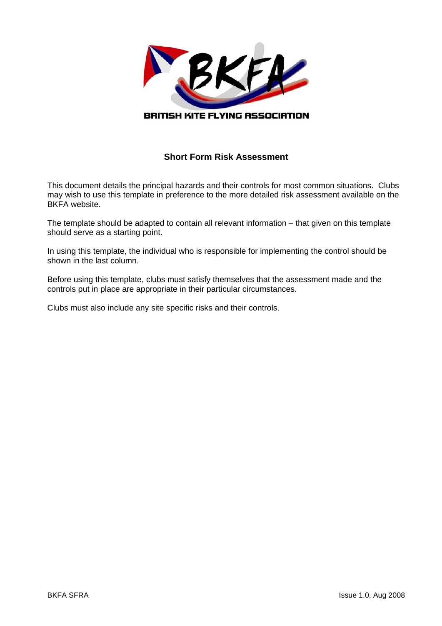

## **Short Form Risk Assessment**

This document details the principal hazards and their controls for most common situations. Clubs may wish to use this template in preference to the more detailed risk assessment available on the BKFA website.

The template should be adapted to contain all relevant information – that given on this template should serve as a starting point.

In using this template, the individual who is responsible for implementing the control should be shown in the last column.

Before using this template, clubs must satisfy themselves that the assessment made and the controls put in place are appropriate in their particular circumstances.

Clubs must also include any site specific risks and their controls.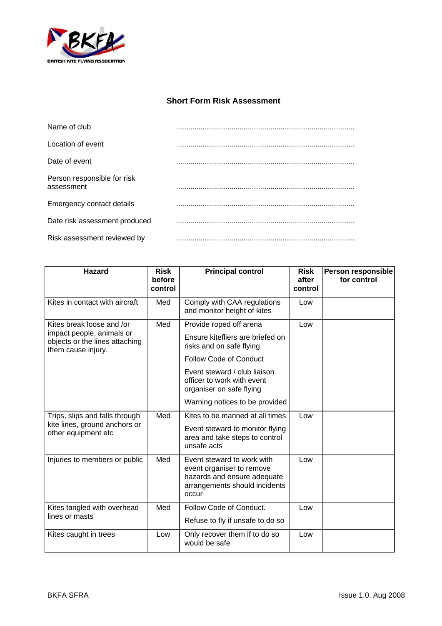

## **Short Form Risk Assessment**

| Name of club                              |  |
|-------------------------------------------|--|
| Location of event                         |  |
| Date of event                             |  |
| Person responsible for risk<br>assessment |  |
| Emergency contact details                 |  |
| Date risk assessment produced             |  |
| Risk assessment reviewed by               |  |

| <b>Hazard</b>                                                                                                  | <b>Risk</b><br>before<br>control | <b>Principal control</b>                                                                                                                                                                                           | <b>Risk</b><br>after<br>control | <b>Person responsible</b><br>for control |
|----------------------------------------------------------------------------------------------------------------|----------------------------------|--------------------------------------------------------------------------------------------------------------------------------------------------------------------------------------------------------------------|---------------------------------|------------------------------------------|
| Kites in contact with aircraft                                                                                 | Med                              | Comply with CAA regulations<br>and monitor height of kites                                                                                                                                                         | Low                             |                                          |
| Kites break loose and /or<br>impact people, animals or<br>objects or the lines attaching<br>them cause injury. | Med                              | Provide roped off arena<br>Ensure kitefliers are briefed on<br>risks and on safe flying<br><b>Follow Code of Conduct</b><br>Event steward / club liaison<br>officer to work with event<br>organiser on safe flying | Low                             |                                          |
|                                                                                                                |                                  | Warning notices to be provided                                                                                                                                                                                     |                                 |                                          |
| Trips, slips and falls through<br>kite lines, ground anchors or<br>other equipment etc                         | Med                              | Kites to be manned at all times<br>Event steward to monitor flying<br>area and take steps to control<br>unsafe acts                                                                                                | Low                             |                                          |
| Injuries to members or public                                                                                  | Med                              | Event steward to work with<br>event organiser to remove<br>hazards and ensure adequate<br>arrangements should incidents<br>occur                                                                                   | Low                             |                                          |
| Kites tangled with overhead<br>lines or masts                                                                  | Med                              | Follow Code of Conduct.<br>Refuse to fly if unsafe to do so                                                                                                                                                        | Low                             |                                          |
| Kites caught in trees                                                                                          | Low                              | Only recover them if to do so<br>would be safe                                                                                                                                                                     | Low                             |                                          |